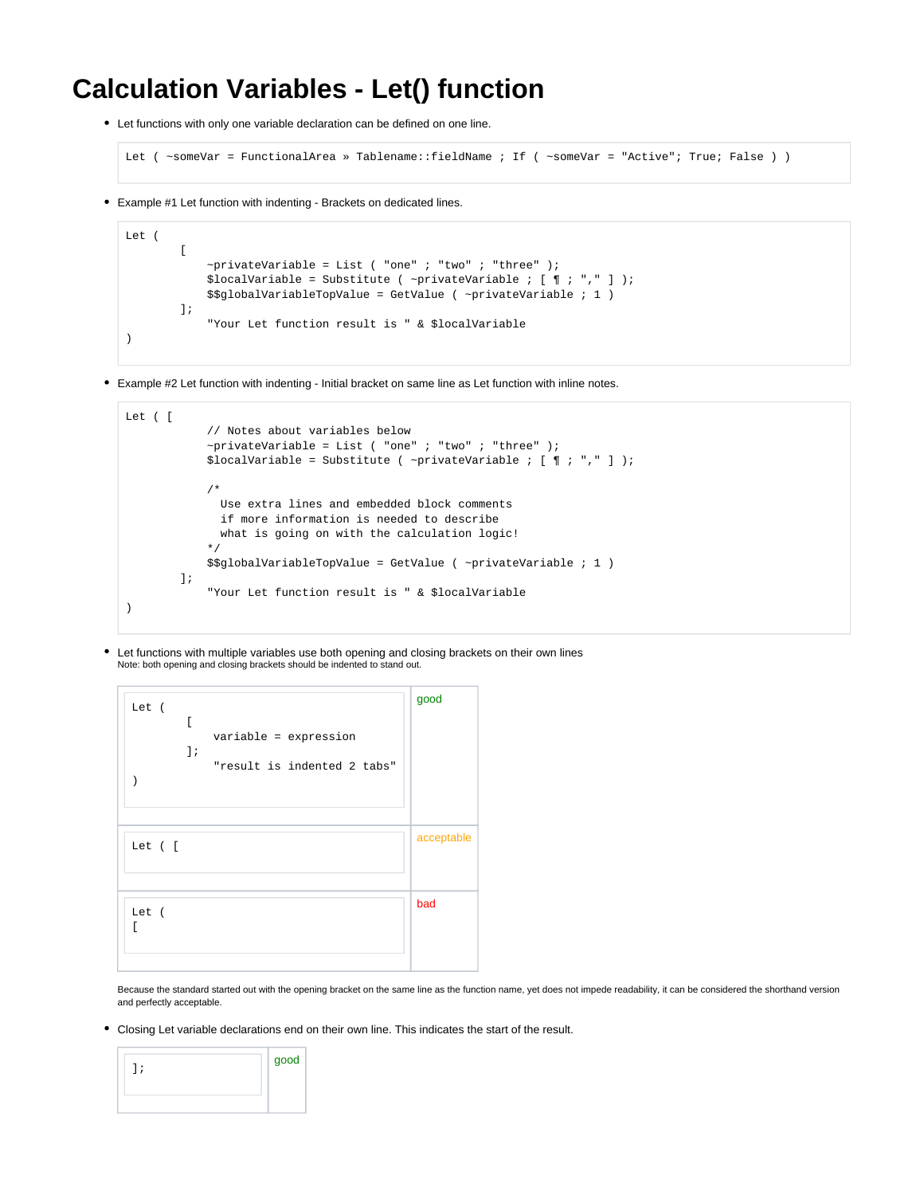## **Calculation Variables - Let() function**

Let functions with only one variable declaration can be defined on one line.

```
Let ( ~someVar = FunctionalArea » Tablename::fieldName ; If ( ~someVar = "Active"; True; False ) )
```
Example #1 Let function with indenting - Brackets on dedicated lines.

```
Let (
        \lceil~\simprivateVariable = List ( "one" ; "two" ; "three" );
             $localVariable = Substitute ( ~privateVariable ; [ \P : "," ] );
              $$globalVariableTopValue = GetValue ( ~privateVariable ; 1 )
         ];
              "Your Let function result is " & $localVariable
\lambda
```
Example #2 Let function with indenting - Initial bracket on same line as Let function with inline notes.

```
Let ( [
             // Notes about variables below
            ~\simprivateVariable = List ( "one" ; "two" ; "three" );
            $localVariable = Substitute ( ~privateVariable ; [ \parallel ; "," ] );
             /*
               Use extra lines and embedded block comments
               if more information is needed to describe
               what is going on with the calculation logic!
 */
            \$globalVariableTopValue = GetValue ( ~privateVariable ; 1 )
         ];
             "Your Let function result is " & $localVariable
)
```
Let functions with multiple variables use both opening and closing brackets on their own lines Note: both opening and closing brackets should be indented to stand out.

| Let (<br>ſ<br>variable = expression<br>$]$ ;<br>"result is indented 2 tabs" | good       |
|-----------------------------------------------------------------------------|------------|
| Let ([                                                                      | acceptable |
| Let (<br>ſ                                                                  | bad        |

Because the standard started out with the opening bracket on the same line as the function name, yet does not impede readability, it can be considered the shorthand version and perfectly acceptable.

Closing Let variable declarations end on their own line. This indicates the start of the result.

|  | good |
|--|------|
|  |      |
|  |      |